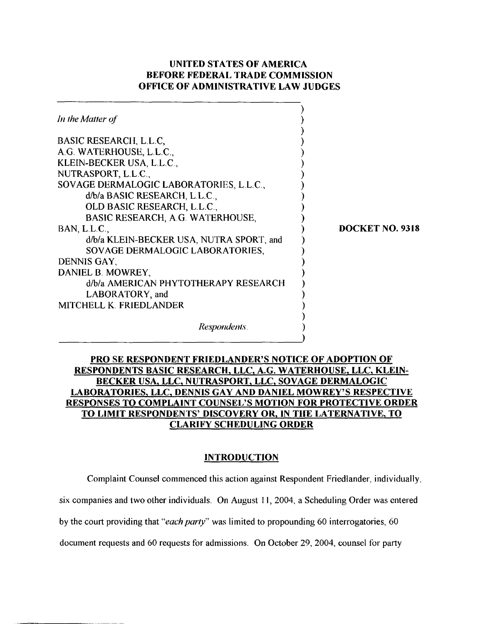# UNITED STATES OF AMERICA BEFORE FEDERAL TRADE COMMTSSION OFFICE OF ADMINISTRATWE LAW JUDGES

| In the Matter of                                                                                                                                                                                                                                                                                                                                                                                                                                                                                             |                        |
|--------------------------------------------------------------------------------------------------------------------------------------------------------------------------------------------------------------------------------------------------------------------------------------------------------------------------------------------------------------------------------------------------------------------------------------------------------------------------------------------------------------|------------------------|
| <b>BASIC RESEARCH, L.L.C.</b><br>A.G. WATERHOUSE, L.L.C.,<br>KLEIN-BECKER USA, L.L.C.,<br>NUTRASPORT, L.L.C.,<br>SOVAGE DERMALOGIC LABORATORIES, L.L.C.,<br>d/b/a BASIC RESEARCH, L.L.C.,<br>OLD BASIC RESEARCH, L.L.C.,<br>BASIC RESEARCH, A.G. WATERHOUSE,<br>BAN, L.L.C.,<br>d/b/a KLEIN-BECKER USA, NUTRA SPORT, and<br>SOVAGE DERMALOGIC LABORATORIES,<br>DENNIS GAY,<br>DANIEL B. MOWREY,<br>d/b/a AMERICAN PHYTOTHERAPY RESEARCH<br>LABORATORY, and<br>MITCHELL K. FRIEDLANDER<br><i>Respondents.</i> | <b>DOCKET NO. 9318</b> |

# PRO SE RESPONDENT FRIEDLANDER'S NOTICE OF ADOPTION OF RESPONDENTS BASIC RESEARCH, LLC, A.G. WATERHOUSE, LLC, KLEIN-BECKER USA, LLC, NUTRASPORT, LLC, SOVAGE DERMALOGIC LABORATORIES, LLC, **DENNlS** GAY AND DANIEL MOWREY'S RESPECTIVE RESPONSES TO COMPLAINT COUNSEL'S MOTION FOR PROTECTIVE ORDER TO LIMIT RESPONDENTS' DISCOVERY OR, IN THE LATERNATIVE, TO CLARIFY SCHEDULING ORDER

### **INTRODUCTION**

Complaint Counsel commenced this action against Respondent Friedlander, individually,

six companies and two other individuals. On August 11, 2004, a Scheduling Order was entered

by the court providing that "*each party*" was limited to propounding 60 interrogatories, 60

document requests and 60 requests for admissions. On October 29, 2004, counsel for party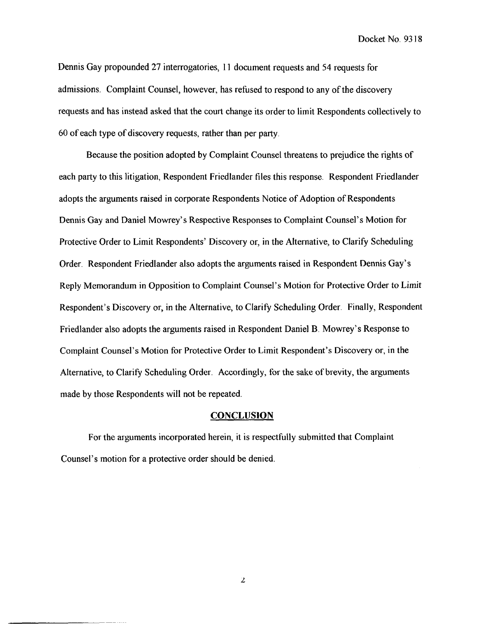Docket No. 93 18

Dennis Gay propounded 27 interrogatories, 11 document requests and 54 requests for admissions. Complaint Counsel, however, has refused to respond to any of the discovery requests and has instead asked that the court change its order to limit Respondents collectively to 60 of each type of discovery requests, rather than per party.

Because the position adopted by Complaint Counsel threatens to prejudice the rights of each party to this litigation, Respondent Fricdlander files this response. Respondent Friedlander adopts the arguments raised in corporate Respondents Notice of Adoption of Respondents Dennis Gay and Daniel Mowrey's Respective Responses to Complaint Counsel's Motion for Protective Order to Limit Respondents' Discovery or, in the Alternative, to Clarify Scheduling Order. Respondent Friedlander also adopts the arguments raised in Respondent Dennis Gay's Reply Memorandum in Opposition to Complaint Counsel's Motion for Protective Order to Limit Respondent's Discovery or, in the Alternative, to Clarify Scheduling Order. Finally, Respondent Friedlander also adopts the arguments raised in Respondent Daniel B. Mowrey's Response to Complaint Counsel's Motion for Protective Order to Limit Respondent's Discovery or, in the Alternative, to Clarify Scheduling Order. Accordingly, for the sake of brevity, the arguments made by those Respondents will not be repeated.

#### **CONCLUSlON**

For the arguments incorporated herein, it is respectfully submitted that Complaint Counsel's motion for a protective order should be denied.

 $\mathbf{z}$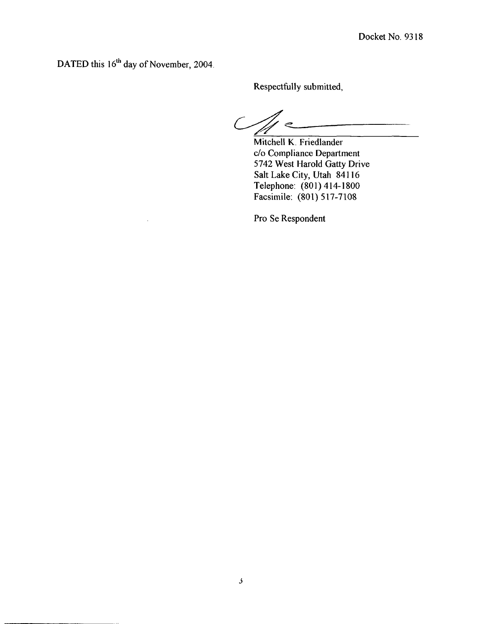DATED this 16<sup>th</sup> day of November, 2004.

**Respectfully submitted,** 

 $\mathcal{C}/\mathcal{A}$ 

**Mitchell K. Friedlander C/O Compliance Department 5742 West Harold Gatty Drive Salt Lake City, Utah 84 1 16 Telephone: (80 1** ) **4** 14- **1800 Facsimile: (801) 5 17-7108** 

**Pro Se Respondent**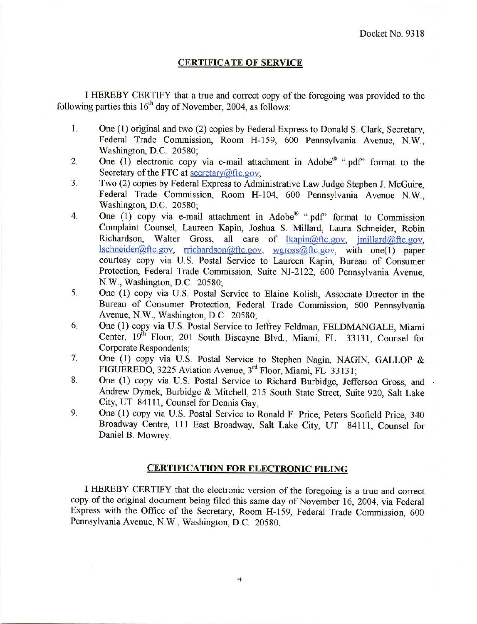#### **CERTIFICATE OF SERVICE**

I HEREBY CERTIFY that a true and correct copy of the foregoing was provided to the following parties this  $16<sup>th</sup>$  day of November, 2004, as follows:

- 1. One (1) original and two (2) copies by Federal Express to Donald S. Clark, Secretary, Federal Trade Commission, Room H-159, 600 Pennsylvania Avenue, N.W., Washington, D.C. 20580;
- One (1) electronic copy via e-mail attachment in Adobe<sup>®</sup> ".pdf" format to the  $2.$ Secretary of the FTC at secretary  $@$ ftc.gov;
- Two (2) copies by Federal Express to Administrative Law Judge Stephen J. McGuire,  $3.$ Federal Trade Commission, Room H-104, 600 Pennsylvania Avenue N.W., Washington, D.C. 20580;
- One (1) copy via e-mail attachment in Adobe® ".pdf" format to Commission  $4.$ Complaint Counsel, Laureen Kapin, Joshua S. Millard, Laura Schneider, Robin Richardson. Walter Gross, all care of lkapin@ftc.gov, jmillard@ftc.gov,  $lschneider(\omega\text{ftc.gov}, \text{richardson}(\omega\text{ftc.gov}, \text{weros}(\omega\text{ftc.gov}, \text{with one}1) \text{paper}$ courtesy copy via U.S. Postal Service to Laureen Kapin, Bureau of Consumer Protection, Federal Trade Commission, Suite NJ-2122, 600 Pennsylvania Avenue, N.W., Washington, D.C. 20580:
- 5. One (1) copy via U.S. Postal Service to Elaine Kolish, Associate Director in the Bureau of Consumer Protection, Federal Trade Commission, 600 Pennsylvania Avenue, N.W., Washington, D.C. 20580;
- 6. One (1) copy via U.S. Postal Service to Jeffrey Feldman, FELDMANGALE, Miami Center, 19th Floor, 201 South Biscayne Blvd., Miami, FL 33131, Counsel for **Corporate Respondents:**
- 7. One (1) copy via U.S. Postal Service to Stephen Nagin, NAGIN, GALLOP & FIGUEREDO, 3225 Aviation Avenue, 3rd Floor, Miami, FL 33131;
- 8. One (1) copy via U.S. Postal Service to Richard Burbidge, Jefferson Gross, and Andrew Dymek, Burbidge & Mitchell, 215 South State Street, Suite 920, Salt Lake City, UT 84111, Counsel for Dennis Gay:
- 9. One (1) copy via U.S. Postal Service to Ronald F. Price, Peters Scofield Price, 340 Broadway Centre, 111 East Broadway, Salt Lake City, UT 84111, Counsel for Daniel B. Mowrey.

### **CERTIFICATION FOR ELECTRONIC FILING**

I HEREBY CERTIFY that the electronic version of the foregoing is a true and correct copy of the original document being filed this same day of November 16, 2004, via Federal Express with the Office of the Secretary, Room H-159, Federal Trade Commission, 600 Pennsylvania Avenue, N.W., Washington, D.C. 20580.